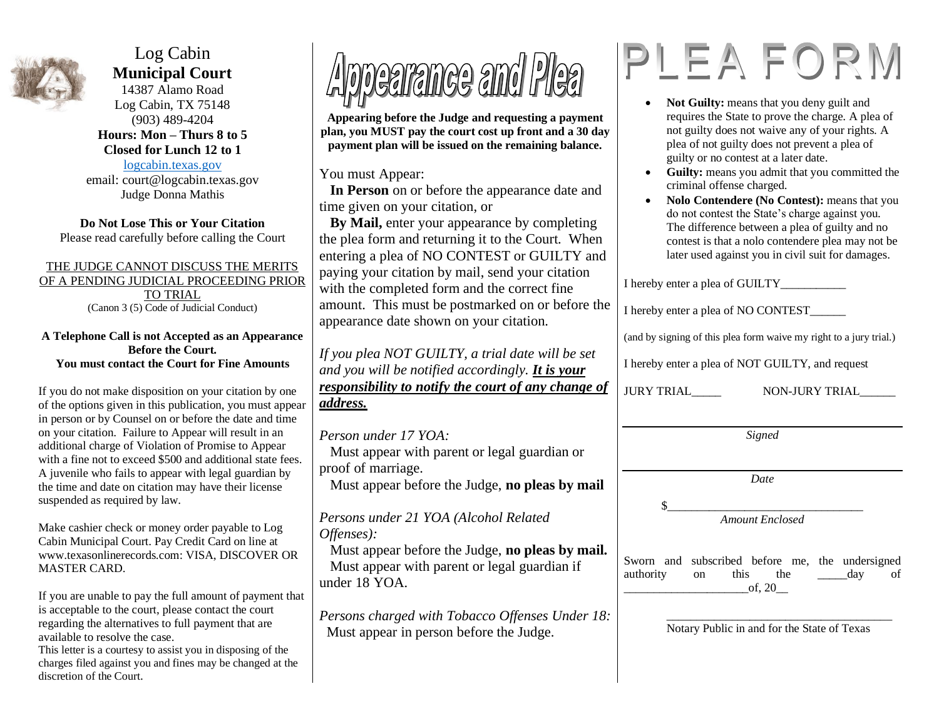

Log Cabin **Municipal Court**

14387 Alamo Road Log Cabin, TX 75148 (903) 489-4204 **Hours: Mon – Thurs 8 to 5 Closed for Lunch 12 to 1**

[logcabin.texas.gov](http://www.logcabin.texas.gov/) email: court@logcabin.texas.gov Judge Donna Mathis

**Do Not Lose This or Your Citation** Please read carefully before calling the Court

### THE JUDGE CANNOT DISCUSS THE MERITS OF A PENDING JUDICIAL PROCEEDING PRIOR TO TRIAL (Canon 3 (5) Code of Judicial Conduct)

#### **A Telephone Call is not Accepted as an Appearance Before the Court. You must contact the Court for Fine Amounts**

If you do not make disposition on your citation by one of the options given in this publication, you must appear in person or by Counsel on or before the date and time on your citation. Failure to Appear will result in an additional charge of Violation of Promise to Appear with a fine not to exceed \$500 and additional state fees. A juvenile who fails to appear with legal guardian by the time and date on citation may have their license suspended as required by law.

Make cashier check or money order payable to Log Cabin Municipal Court. Pay Credit Card on line at www.texasonlinerecords.com: VISA, DISCOVER OR MASTER CARD.

If you are unable to pay the full amount of payment that is acceptable to the court, please contact the court regarding the alternatives to full payment that are available to resolve the case.

This letter is a courtesy to assist you in disposing of the charges filed against you and fines may be changed at the discretion of the Court.



**Appearing before the Judge and requesting a payment plan, you MUST pay the court cost up front and a 30 day payment plan will be issued on the remaining balance.**

You must Appear:

 **In Person** on or before the appearance date and time given on your citation, or

 **By Mail,** enter your appearance by completing the plea form and returning it to the Court. When entering a plea of NO CONTEST or GUILTY and paying your citation by mail, send your citation with the completed form and the correct fine amount. This must be postmarked on or before the appearance date shown on your citation.

*If you plea NOT GUILTY, a trial date will be set and you will be notified accordingly. It is your responsibility to notify the court of any change of address.*

### *Person under 17 YOA:*

 Must appear with parent or legal guardian or proof of marriage.

Must appear before the Judge, **no pleas by mail**

## *Persons under 21 YOA (Alcohol Related Offenses):*

 Must appear before the Judge, **no pleas by mail.** Must appear with parent or legal guardian if under 18 YOA.

*Persons charged with Tobacco Offenses Under 18:* Must appear in person before the Judge.

# PLEAFORM

- Not Guilty: means that you deny guilt and requires the State to prove the charge. A plea of not guilty does not waive any of your rights. A plea of not guilty does not prevent a plea of guilty or no contest at a later date.
- **Guilty:** means you admit that you committed the criminal offense charged.
- **Nolo Contendere (No Contest):** means that you do not contest the State's charge against you. The difference between a plea of guilty and no contest is that a nolo contendere plea may not be later used against you in civil suit for damages.

| I hereby enter a plea of GUILTY___                                 |                |
|--------------------------------------------------------------------|----------------|
| I hereby enter a plea of NO CONTEST                                |                |
| (and by signing of this plea form waive my right to a jury trial.) |                |
| I hereby enter a plea of NOT GUILTY, and request                   |                |
| JURY TRIAL_____                                                    | NON-JURY TRIAL |
|                                                                    |                |

*Date*

 $\frac{\ }{0}$ *Amount Enclosed*

Sworn and subscribed before me, the undersigned authority on this the day of  $of. 20$ 

> \_\_\_\_\_\_\_\_\_\_\_\_\_\_\_\_\_\_\_\_\_\_\_\_\_\_\_\_\_\_\_\_\_\_\_\_\_\_ Notary Public in and for the State of Texas